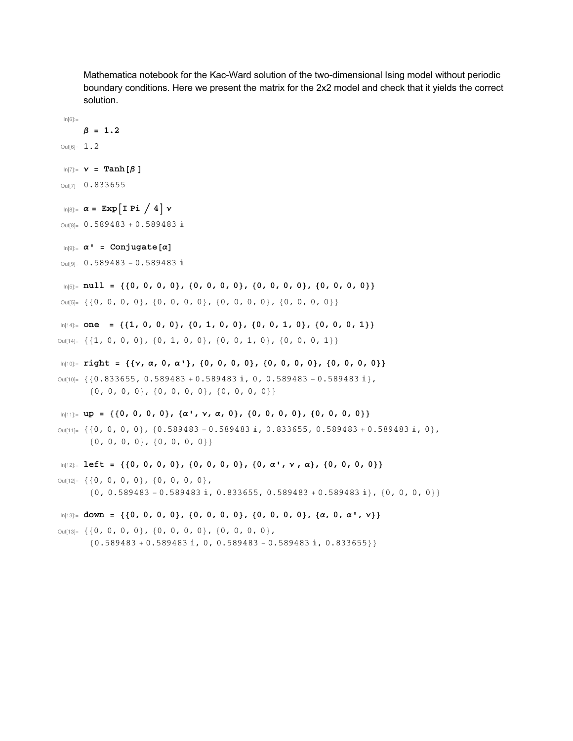Mathematica notebook for the Kac-Ward solution of the two-dimensional Ising model without periodic boundary conditions. Here we present the matrix for the 2x2 model and check that it yields the correct solution.

```
β = 1.2Out[6]= 1.2
 In[7]:= \mathbf{v} = \text{Tanh}[\beta]Out[7]= 0.833655
 \ln[8]:=\alpha = \exp[I \text{Pi} / 4] \veeOut[8]= 0.589483 + 0.589483 i
 In[9]: = \alpha' = Conjugate[\alpha]Out[9]= 0.589483 - 0.589483 i
 In[5] := null = \{ \{0, 0, 0, 0\}, \{0, 0, 0\}, \{0, 0, 0, 0\}, \{0, 0, 0\}, \{0, 0, 0, 0\} \}Out[5]= {{0, 0, 0, 0}, {0, 0, 0, 0}, {0, 0, 0, 0}, {0, 0, 0, 0}}
In[14]: one = {{1, 0, 0, 0}, {0, 1, 0, 0}, {0, 0, 1, 0}, {0, 0, 0, 1}}
Out[14]= {{1, 0, 0, 0}, {0, 1, 0, 0}, {0, 0, 1, 0}, {0, 0, 0, 1}}
In[10]: right = {{ν, α, 0, α'}, {0, 0, 0, 0}, {0, 0, 0}, {0, 0, 0, 0}}
Out[10]= \{ {0.833655, 0.589483 + 0.589483 \hat{a}, 0, 0.589483 - 0.589483 \hat{a}},
       \{0, 0, 0, 0\}, \{0, 0, 0, 0\}, \{0, 0, 0\}In[11]:= up = {{0, 0, 0, 0}, {α', ν, α, 0}, {0, 0, 0, 0}, {0, 0, 0, 0}}
Out[11]= {{0, 0, 0, 0}, {0.589483 - 0.589483 i, 0.833655, 0.589483 + 0.589483 i, 0},
       {0, 0, 0, 0}, {0, 0, 0, 0}}
In[12]:= left = {{0, 0, 0, 0}, {0, 0, 0}, {0, α', ν, α}, {0, 0, 0, 0}}
Out[12]= {{0, 0, 0, 0}, {0, 0, 0, 0},
        \{0, 0.589483 - 0.589483 \text{ i}, 0.833655, 0.589483 + 0.589483 \text{ i}, \{0, 0, 0, 0\}\}In[13]:= down = {{0, 0, 0, 0}, {0, 0, 0, 0}, {0, 0, 0, 0}, {α, 0, α', ν}}
Out[13]= {{0, 0, 0, 0}, {0, 0, 0, 0}, {0, 0, 0, 0},
        {0.589483 + 0.589483 \text{ i}, 0, 0.589483 - 0.589483 \text{ i}, 0.833655}
```
 $ln[6] :=$